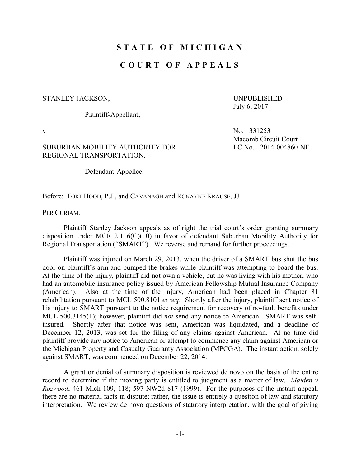## **S T A T E O F M I C H I G A N**

## **C O U R T O F A P P E A L S**

## STANLEY JACKSON,

Plaintiff-Appellant,

UNPUBLISHED July 6, 2017

SUBURBAN MOBILITY AUTHORITY FOR REGIONAL TRANSPORTATION,

Defendant-Appellee.

v No. 331253 Macomb Circuit Court LC No. 2014-004860-NF

Before: FORT HOOD, P.J., and CAVANAGH and RONAYNE KRAUSE, JJ.

PER CURIAM.

Plaintiff Stanley Jackson appeals as of right the trial court's order granting summary disposition under MCR 2.116(C)(10) in favor of defendant Suburban Mobility Authority for Regional Transportation ("SMART"). We reverse and remand for further proceedings.

Plaintiff was injured on March 29, 2013, when the driver of a SMART bus shut the bus door on plaintiff's arm and pumped the brakes while plaintiff was attempting to board the bus. At the time of the injury, plaintiff did not own a vehicle, but he was living with his mother, who had an automobile insurance policy issued by American Fellowship Mutual Insurance Company (American). Also at the time of the injury, American had been placed in Chapter 81 rehabilitation pursuant to MCL 500.8101 *et seq*. Shortly after the injury, plaintiff sent notice of his injury to SMART pursuant to the notice requirement for recovery of no-fault benefits under MCL 500.3145(1); however, plaintiff did *not* send any notice to American. SMART was selfinsured. Shortly after that notice was sent, American was liquidated, and a deadline of December 12, 2013, was set for the filing of any claims against American. At no time did plaintiff provide any notice to American or attempt to commence any claim against American or the Michigan Property and Casualty Guaranty Association (MPCGA). The instant action, solely against SMART, was commenced on December 22, 2014.

A grant or denial of summary disposition is reviewed de novo on the basis of the entire record to determine if the moving party is entitled to judgment as a matter of law. *Maiden v Rozwood*, 461 Mich 109, 118; 597 NW2d 817 (1999). For the purposes of the instant appeal, there are no material facts in dispute; rather, the issue is entirely a question of law and statutory interpretation. We review de novo questions of statutory interpretation, with the goal of giving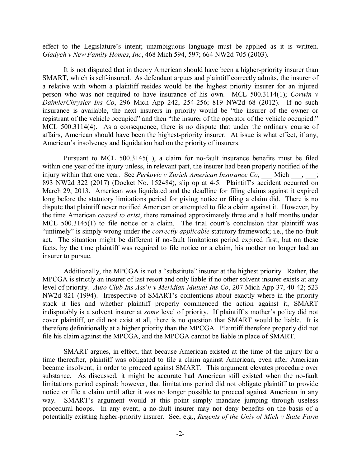effect to the Legislature's intent; unambiguous language must be applied as it is written. *Gladych v New Family Homes*, *Inc*, 468 Mich 594, 597; 664 NW2d 705 (2003).

It is not disputed that in theory American should have been a higher-priority insurer than SMART, which is self-insured. As defendant argues and plaintiff correctly admits, the insurer of a relative with whom a plaintiff resides would be the highest priority insurer for an injured person who was not required to have insurance of his own. MCL 500.3114(1); *Corwin v DaimlerChrysler Ins Co*, 296 Mich App 242, 254-256; 819 NW2d 68 (2012). If no such insurance is available, the next insurers in priority would be "the insurer of the owner or registrant of the vehicle occupied" and then "the insurer of the operator of the vehicle occupied." MCL 500.3114(4). As a consequence, there is no dispute that under the ordinary course of affairs, American should have been the highest-priority insurer. At issue is what effect, if any, American's insolvency and liquidation had on the priority of insurers.

Pursuant to MCL 500.3145(1), a claim for no-fault insurance benefits must be filed within one year of the injury unless, in relevant part, the insurer had been properly notified of the injury within that one year. See *Perkovic v Zurich American Insurance Co*, Mich  $\qquad$ , 893 NW2d 322 (2017) (Docket No. 152484), slip op at 4-5. Plaintiff's accident occurred on March 29, 2013. American was liquidated and the deadline for filing claims against it expired long before the statutory limitations period for giving notice or filing a claim did. There is no dispute that plaintiff never notified American or attempted to file a claim against it. However, by the time American *ceased to exist*, there remained approximately three and a half months under MCL 500.3145(1) to file notice or a claim. The trial court's conclusion that plaintiff was "untimely" is simply wrong under the *correctly applicable* statutory framework; i.e., the no-fault act. The situation might be different if no-fault limitations period expired first, but on these facts, by the time plaintiff was required to file notice or a claim, his mother no longer had an insurer to pursue.

Additionally, the MPCGA is not a "substitute" insurer at the highest priority. Rather, the MPCGA is strictly an insurer of last resort and only liable if no other solvent insurer exists at any level of priority. *Auto Club Ins Ass*'*n v Meridian Mutual Ins Co*, 207 Mich App 37, 40-42; 523 NW2d 821 (1994). Irrespective of SMART's contentions about exactly where in the priority stack it lies and whether plaintiff properly commenced the action against it, SMART indisputably is a solvent insurer at *some* level of priority. If plaintiff's mother's policy did not cover plaintiff, or did not exist at all, there is no question that SMART would be liable. It is therefore definitionally at a higher priority than the MPCGA. Plaintiff therefore properly did not file his claim against the MPCGA, and the MPCGA cannot be liable in place of SMART.

SMART argues, in effect, that because American existed at the time of the injury for a time thereafter, plaintiff was obligated to file a claim against American, even after American became insolvent, in order to proceed against SMART. This argument elevates procedure over substance. As discussed, it might be accurate had American still existed when the no-fault limitations period expired; however, that limitations period did not obligate plaintiff to provide notice or file a claim until after it was no longer possible to proceed against American in any way. SMART's argument would at this point simply mandate jumping through useless procedural hoops. In any event, a no-fault insurer may not deny benefits on the basis of a potentially existing higher-priority insurer. See, e.g., *Regents of the Univ of Mich v State Farm*